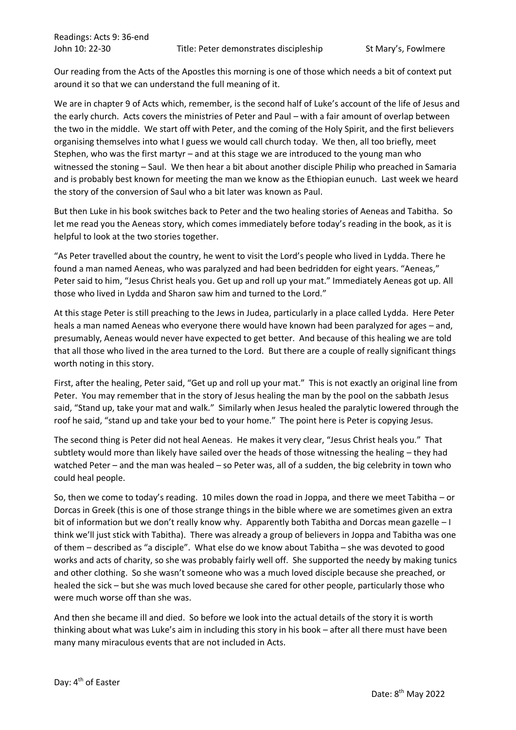Our reading from the Acts of the Apostles this morning is one of those which needs a bit of context put around it so that we can understand the full meaning of it.

We are in chapter 9 of Acts which, remember, is the second half of Luke's account of the life of Jesus and the early church. Acts covers the ministries of Peter and Paul – with a fair amount of overlap between the two in the middle. We start off with Peter, and the coming of the Holy Spirit, and the first believers organising themselves into what I guess we would call church today. We then, all too briefly, meet Stephen, who was the first martyr – and at this stage we are introduced to the young man who witnessed the stoning – Saul. We then hear a bit about another disciple Philip who preached in Samaria and is probably best known for meeting the man we know as the Ethiopian eunuch. Last week we heard the story of the conversion of Saul who a bit later was known as Paul.

But then Luke in his book switches back to Peter and the two healing stories of Aeneas and Tabitha. So let me read you the Aeneas story, which comes immediately before today's reading in the book, as it is helpful to look at the two stories together.

"As Peter travelled about the country, he went to visit the Lord's people who lived in Lydda. There he found a man named Aeneas, who was paralyzed and had been bedridden for eight years. "Aeneas," Peter said to him, "Jesus Christ heals you. Get up and roll up your mat." Immediately Aeneas got up. All those who lived in Lydda and Sharon saw him and turned to the Lord."

At this stage Peter is still preaching to the Jews in Judea, particularly in a place called Lydda. Here Peter heals a man named Aeneas who everyone there would have known had been paralyzed for ages – and, presumably, Aeneas would never have expected to get better. And because of this healing we are told that all those who lived in the area turned to the Lord. But there are a couple of really significant things worth noting in this story.

First, after the healing, Peter said, "Get up and roll up your mat." This is not exactly an original line from Peter. You may remember that in the story of Jesus healing the man by the pool on the sabbath Jesus said, "Stand up, take your mat and walk." Similarly when Jesus healed the paralytic lowered through the roof he said, "stand up and take your bed to your home." The point here is Peter is copying Jesus.

The second thing is Peter did not heal Aeneas. He makes it very clear, "Jesus Christ heals you." That subtlety would more than likely have sailed over the heads of those witnessing the healing – they had watched Peter – and the man was healed – so Peter was, all of a sudden, the big celebrity in town who could heal people.

So, then we come to today's reading. 10 miles down the road in Joppa, and there we meet Tabitha – or Dorcas in Greek (this is one of those strange things in the bible where we are sometimes given an extra bit of information but we don't really know why. Apparently both Tabitha and Dorcas mean gazelle – I think we'll just stick with Tabitha). There was already a group of believers in Joppa and Tabitha was one of them – described as "a disciple". What else do we know about Tabitha – she was devoted to good works and acts of charity, so she was probably fairly well off. She supported the needy by making tunics and other clothing. So she wasn't someone who was a much loved disciple because she preached, or healed the sick – but she was much loved because she cared for other people, particularly those who were much worse off than she was.

And then she became ill and died. So before we look into the actual details of the story it is worth thinking about what was Luke's aim in including this story in his book – after all there must have been many many miraculous events that are not included in Acts.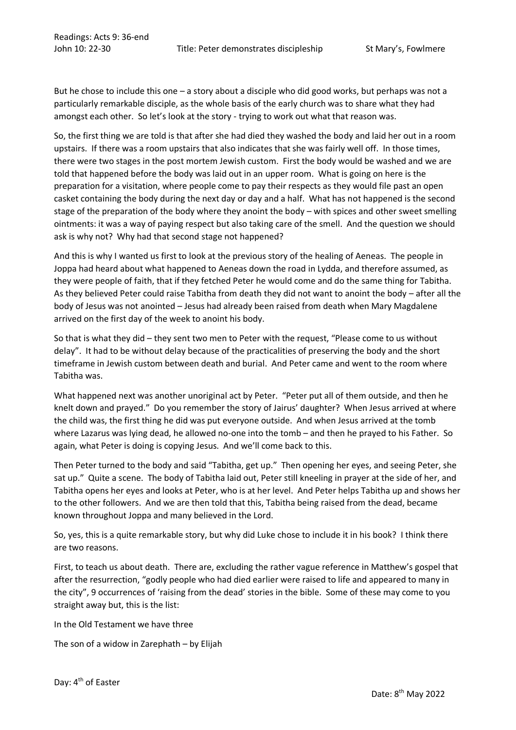But he chose to include this one – a story about a disciple who did good works, but perhaps was not a particularly remarkable disciple, as the whole basis of the early church was to share what they had amongst each other. So let's look at the story - trying to work out what that reason was.

So, the first thing we are told is that after she had died they washed the body and laid her out in a room upstairs. If there was a room upstairs that also indicates that she was fairly well off. In those times, there were two stages in the post mortem Jewish custom. First the body would be washed and we are told that happened before the body was laid out in an upper room. What is going on here is the preparation for a visitation, where people come to pay their respects as they would file past an open casket containing the body during the next day or day and a half. What has not happened is the second stage of the preparation of the body where they anoint the body – with spices and other sweet smelling ointments: it was a way of paying respect but also taking care of the smell. And the question we should ask is why not? Why had that second stage not happened?

And this is why I wanted us first to look at the previous story of the healing of Aeneas. The people in Joppa had heard about what happened to Aeneas down the road in Lydda, and therefore assumed, as they were people of faith, that if they fetched Peter he would come and do the same thing for Tabitha. As they believed Peter could raise Tabitha from death they did not want to anoint the body – after all the body of Jesus was not anointed – Jesus had already been raised from death when Mary Magdalene arrived on the first day of the week to anoint his body.

So that is what they did – they sent two men to Peter with the request, "Please come to us without delay". It had to be without delay because of the practicalities of preserving the body and the short timeframe in Jewish custom between death and burial. And Peter came and went to the room where Tabitha was.

What happened next was another unoriginal act by Peter. "Peter put all of them outside, and then he knelt down and prayed." Do you remember the story of Jairus' daughter? When Jesus arrived at where the child was, the first thing he did was put everyone outside. And when Jesus arrived at the tomb where Lazarus was lying dead, he allowed no-one into the tomb – and then he prayed to his Father. So again, what Peter is doing is copying Jesus. And we'll come back to this.

Then Peter turned to the body and said "Tabitha, get up." Then opening her eyes, and seeing Peter, she sat up." Quite a scene. The body of Tabitha laid out, Peter still kneeling in prayer at the side of her, and Tabitha opens her eyes and looks at Peter, who is at her level. And Peter helps Tabitha up and shows her to the other followers. And we are then told that this, Tabitha being raised from the dead, became known throughout Joppa and many believed in the Lord.

So, yes, this is a quite remarkable story, but why did Luke chose to include it in his book? I think there are two reasons.

First, to teach us about death. There are, excluding the rather vague reference in Matthew's gospel that after the resurrection, "godly people who had died earlier were raised to life and appeared to many in the city", 9 occurrences of 'raising from the dead' stories in the bible. Some of these may come to you straight away but, this is the list:

In the Old Testament we have three

The son of a widow in Zarephath – by Elijah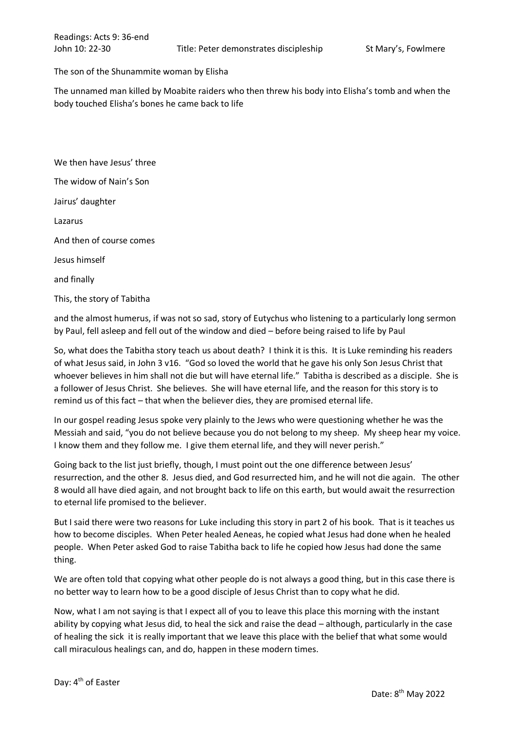## The son of the Shunammite woman by Elisha

The unnamed man killed by Moabite raiders who then threw his body into Elisha's tomb and when the body touched Elisha's bones he came back to life

We then have Jesus' three The widow of Nain's Son Jairus' daughter Lazarus And then of course comes Jesus himself and finally This, the story of Tabitha

and the almost humerus, if was not so sad, story of Eutychus who listening to a particularly long sermon by Paul, fell asleep and fell out of the window and died – before being raised to life by Paul

So, what does the Tabitha story teach us about death? I think it is this. It is Luke reminding his readers of what Jesus said, in John 3 v16. "God so loved the world that he gave his only Son Jesus Christ that whoever believes in him shall not die but will have eternal life." Tabitha is described as a disciple. She is a follower of Jesus Christ. She believes. She will have eternal life, and the reason for this story is to remind us of this fact – that when the believer dies, they are promised eternal life.

In our gospel reading Jesus spoke very plainly to the Jews who were questioning whether he was the Messiah and said, "you do not believe because you do not belong to my sheep. My sheep hear my voice. I know them and they follow me. I give them eternal life, and they will never perish."

Going back to the list just briefly, though, I must point out the one difference between Jesus' resurrection, and the other 8. Jesus died, and God resurrected him, and he will not die again. The other 8 would all have died again, and not brought back to life on this earth, but would await the resurrection to eternal life promised to the believer.

But I said there were two reasons for Luke including this story in part 2 of his book. That is it teaches us how to become disciples. When Peter healed Aeneas, he copied what Jesus had done when he healed people. When Peter asked God to raise Tabitha back to life he copied how Jesus had done the same thing.

We are often told that copying what other people do is not always a good thing, but in this case there is no better way to learn how to be a good disciple of Jesus Christ than to copy what he did.

Now, what I am not saying is that I expect all of you to leave this place this morning with the instant ability by copying what Jesus did, to heal the sick and raise the dead – although, particularly in the case of healing the sick it is really important that we leave this place with the belief that what some would call miraculous healings can, and do, happen in these modern times.